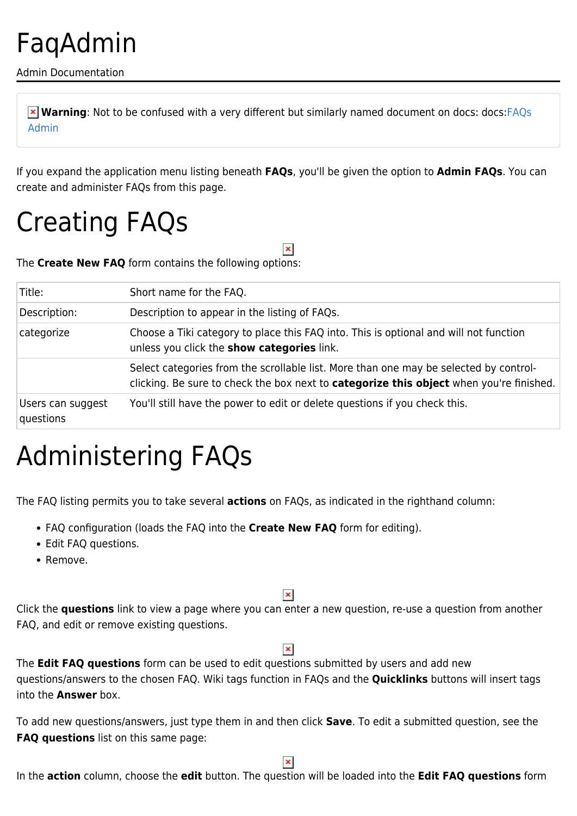### FaqAdmin

Admin Documentation

**Warning**: Not to be confused with a very different but similarly named document on docs: docs[:FAQs](http://doc.tiki.org/FAQs%20Admin) [Admin](http://doc.tiki.org/FAQs%20Admin)

If you expand the application menu listing beneath **FAQs**, you'll be given the option to **Admin FAQs**. You can create and administer FAQs from this page.

 $\pmb{\times}$ 

### Creating FAQs

The **Create New FAQ** form contains the following options:

| Title:                         | Short name for the FAQ.                                                                                                                                                                 |
|--------------------------------|-----------------------------------------------------------------------------------------------------------------------------------------------------------------------------------------|
| Description:                   | Description to appear in the listing of FAQs.                                                                                                                                           |
| categorize                     | Choose a Tiki category to place this FAQ into. This is optional and will not function<br>unless you click the <b>show categories</b> link.                                              |
|                                | Select categories from the scrollable list. More than one may be selected by control-<br>clicking. Be sure to check the box next to <b>categorize this object</b> when you're finished. |
| Users can suggest<br>questions | You'll still have the power to edit or delete questions if you check this.                                                                                                              |

## Administering FAQs

The FAQ listing permits you to take several **actions** on FAQs, as indicated in the righthand column:

- FAQ configuration (loads the FAQ into the **Create New FAQ** form for editing).
- Edit FAQ questions.
- Remove.

### $\pmb{\times}$

Click the **questions** link to view a page where you can enter a new question, re-use a question from another FAQ, and edit or remove existing questions.

The **Edit FAQ questions** form can be used to edit questions submitted by users and add new questions/answers to the chosen FAQ. Wiki tags function in FAQs and the **Quicklinks** buttons will insert tags into the **Answer** box.

To add new questions/answers, just type them in and then click **Save**. To edit a submitted question, see the **FAQ questions** list on this same page:

 $\pmb{\times}$ 

In the **action** column, choose the **edit** button. The question will be loaded into the **Edit FAQ questions** form